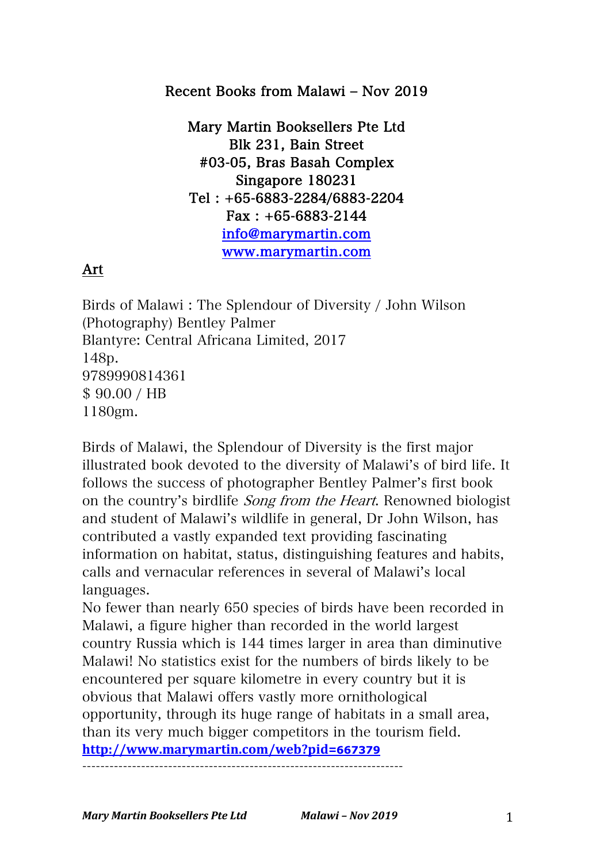#### Recent Books from Malawi ‒ Nov 2019

Mary Martin Booksellers Pte Ltd Blk 231, Bain Street #03-05, Bras Basah Complex Singapore 180231 Tel : +65-6883-2284/6883-2204 Fax : +65-6883-2144 info@marymartin.com www.marymartin.com

## Art

Birds of Malawi : The Splendour of Diversity / John Wilson (Photography) Bentley Palmer Blantyre: Central Africana Limited, 2017 148p. 9789990814361 \$ 90.00 / HB 1180gm.

Birds of Malawi, the Splendour of Diversity is the first major illustrated book devoted to the diversity of Malawi's of bird life. It follows the success of photographer Bentley Palmer's first book on the country's birdlife Song from the Heart. Renowned biologist and student of Malawi's wildlife in general, Dr John Wilson, has contributed a vastly expanded text providing fascinating information on habitat, status, distinguishing features and habits, calls and vernacular references in several of Malawi's local languages.

No fewer than nearly 650 species of birds have been recorded in Malawi, a figure higher than recorded in the world largest country Russia which is 144 times larger in area than diminutive Malawi! No statistics exist for the numbers of birds likely to be encountered per square kilometre in every country but it is obvious that Malawi offers vastly more ornithological opportunity, through its huge range of habitats in a small area, than its very much bigger competitors in the tourism field. **http://www.marymartin.com/web?pid=667379**

-----------------------------------------------------------------------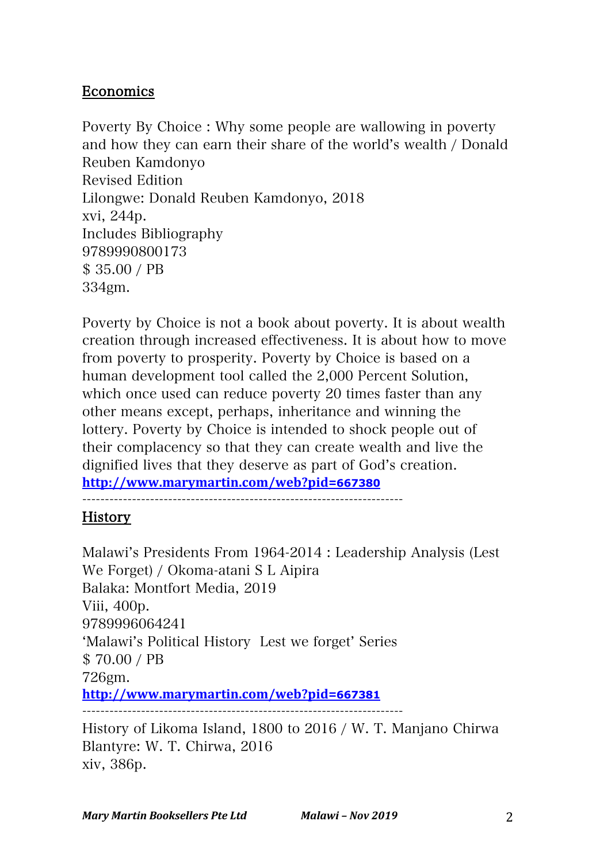## Economics

Poverty By Choice : Why some people are wallowing in poverty and how they can earn their share of the world's wealth / Donald Reuben Kamdonyo Revised Edition Lilongwe: Donald Reuben Kamdonyo, 2018 xvi, 244p. Includes Bibliography 9789990800173 \$ 35.00 / PB 334gm.

Poverty by Choice is not a book about poverty. It is about wealth creation through increased effectiveness. It is about how to move from poverty to prosperity. Poverty by Choice is based on a human development tool called the 2,000 Percent Solution, which once used can reduce poverty 20 times faster than any other means except, perhaps, inheritance and winning the lottery. Poverty by Choice is intended to shock people out of their complacency so that they can create wealth and live the dignified lives that they deserve as part of God's creation.

**http://www.marymartin.com/web?pid=667380**

-----------------------------------------------------------------------

#### History

Malawi's Presidents From 1964-2014 : Leadership Analysis (Lest We Forget) / Okoma-atani S L Aipira Balaka: Montfort Media, 2019 Viii, 400p. 9789996064241 ʻMalawi's Political History Lest we forget' Series \$ 70.00 / PB 726gm. **http://www.marymartin.com/web?pid=667381** ----------------------------------------------------------------------- History of Likoma Island, 1800 to 2016 / W. T. Manjano Chirwa Blantyre: W. T. Chirwa, 2016 xiv, 386p.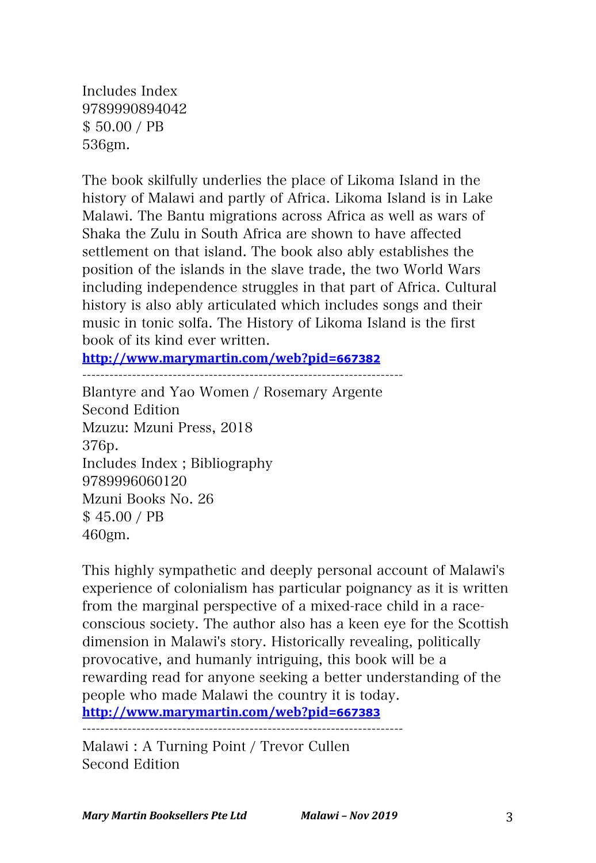Includes Index 9789990894042 \$ 50.00 / PB 536gm.

The book skilfully underlies the place of Likoma Island in the history of Malawi and partly of Africa. Likoma Island is in Lake Malawi. The Bantu migrations across Africa as well as wars of Shaka the Zulu in South Africa are shown to have affected settlement on that island. The book also ably establishes the position of the islands in the slave trade, the two World Wars including independence struggles in that part of Africa. Cultural history is also ably articulated which includes songs and their music in tonic solfa. The History of Likoma Island is the first book of its kind ever written.

**http://www.marymartin.com/web?pid=667382**

-----------------------------------------------------------------------

Blantyre and Yao Women / Rosemary Argente Second Edition Mzuzu: Mzuni Press, 2018 376p. Includes Index ; Bibliography 9789996060120 Mzuni Books No. 26 \$ 45.00 / PB 460gm.

This highly sympathetic and deeply personal account of Malawi's experience of colonialism has particular poignancy as it is written from the marginal perspective of a mixed-race child in a raceconscious society. The author also has a keen eye for the Scottish dimension in Malawi's story. Historically revealing, politically provocative, and humanly intriguing, this book will be a rewarding read for anyone seeking a better understanding of the people who made Malawi the country it is today. **http://www.marymartin.com/web?pid=667383**

-----------------------------------------------------------------------

Malawi : A Turning Point / Trevor Cullen Second Edition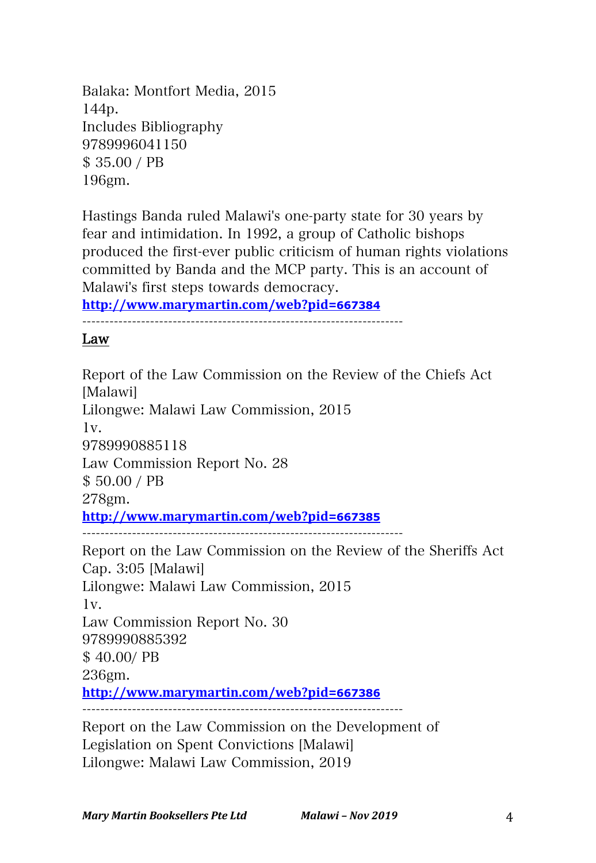Balaka: Montfort Media, 2015 144p. Includes Bibliography 9789996041150 \$ 35.00 / PB 196gm.

Hastings Banda ruled Malawi's one-party state for 30 years by fear and intimidation. In 1992, a group of Catholic bishops produced the first-ever public criticism of human rights violations committed by Banda and the MCP party. This is an account of Malawi's first steps towards democracy.

**http://www.marymartin.com/web?pid=667384**

-----------------------------------------------------------------------

Law

Report of the Law Commission on the Review of the Chiefs Act [Malawi] Lilongwe: Malawi Law Commission, 2015 1v. 9789990885118 Law Commission Report No. 28 \$ 50.00 / PB 278gm. **http://www.marymartin.com/web?pid=667385** ----------------------------------------------------------------------- Report on the Law Commission on the Review of the Sheriffs Act Cap. 3:05 [Malawi] Lilongwe: Malawi Law Commission, 2015 1v. Law Commission Report No. 30 9789990885392 \$ 40.00/ PB 236gm. **http://www.marymartin.com/web?pid=667386** ----------------------------------------------------------------------- Report on the Law Commission on the Development of Legislation on Spent Convictions [Malawi]

Lilongwe: Malawi Law Commission, 2019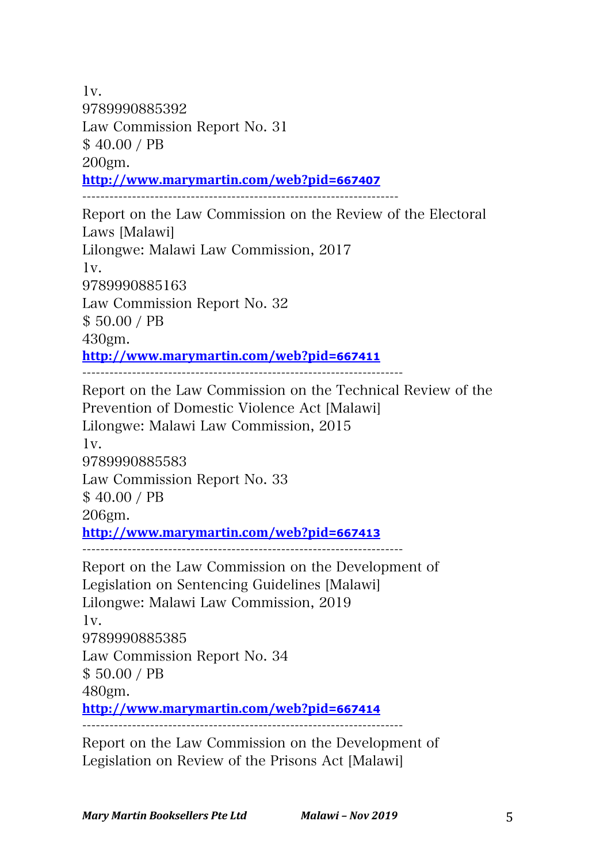1v. 9789990885392 Law Commission Report No. 31 \$ 40.00 / PB 200gm. **http://www.marymartin.com/web?pid=667407** ---------------------------------------------------------------------- Report on the Law Commission on the Review of the Electoral Laws [Malawi] Lilongwe: Malawi Law Commission, 2017 1v. 9789990885163 Law Commission Report No. 32 \$ 50.00 / PB 430gm. **http://www.marymartin.com/web?pid=667411** Report on the Law Commission on the Technical Review of the Prevention of Domestic Violence Act [Malawi] Lilongwe: Malawi Law Commission, 2015  $1v.$ 9789990885583 Law Commission Report No. 33 \$ 40.00 / PB 206gm. **http://www.marymartin.com/web?pid=667413** ----------------------------------------------------------------------- Report on the Law Commission on the Development of Legislation on Sentencing Guidelines [Malawi] Lilongwe: Malawi Law Commission, 2019 1v. 9789990885385 Law Commission Report No. 34 \$ 50.00 / PB 480gm. **http://www.marymartin.com/web?pid=667414** Report on the Law Commission on the Development of

Legislation on Review of the Prisons Act [Malawi]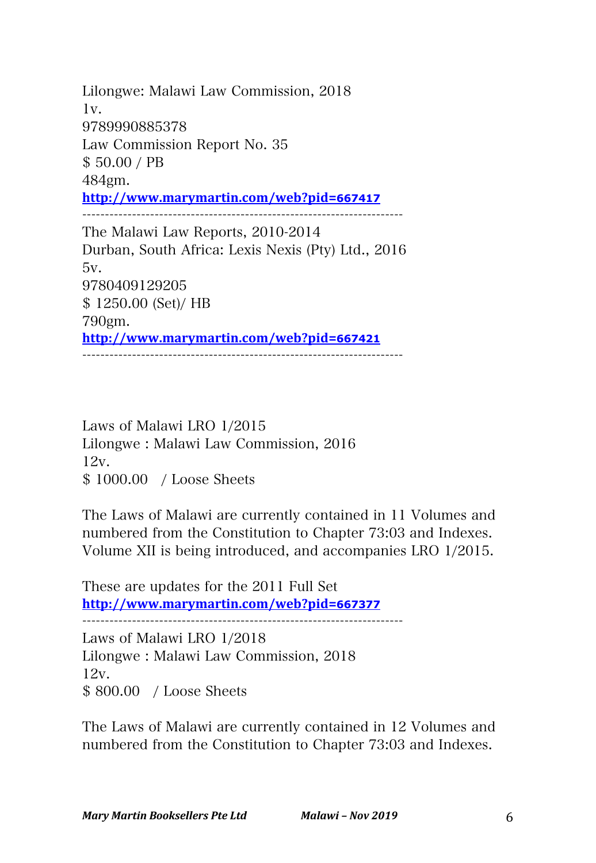Lilongwe: Malawi Law Commission, 2018  $1v.$ 9789990885378 Law Commission Report No. 35 \$ 50.00 / PB 484gm. **http://www.marymartin.com/web?pid=667417**

The Malawi Law Reports, 2010-2014 Durban, South Africa: Lexis Nexis (Pty) Ltd., 2016 5v. 9780409129205 \$ 1250.00 (Set)/ HB 790gm. **http://www.marymartin.com/web?pid=667421** -----------------------------------------------------------------------

-----------------------------------------------------------------------

Laws of Malawi LRO 1/2015 Lilongwe : Malawi Law Commission, 2016 12v. \$ 1000.00 / Loose Sheets

The Laws of Malawi are currently contained in 11 Volumes and numbered from the Constitution to Chapter 73:03 and Indexes. Volume XII is being introduced, and accompanies LRO 1/2015.

These are updates for the 2011 Full Set **http://www.marymartin.com/web?pid=667377**

Laws of Malawi LRO 1/2018

Lilongwe : Malawi Law Commission, 2018 12v. \$ 800.00 / Loose Sheets

The Laws of Malawi are currently contained in 12 Volumes and numbered from the Constitution to Chapter 73:03 and Indexes.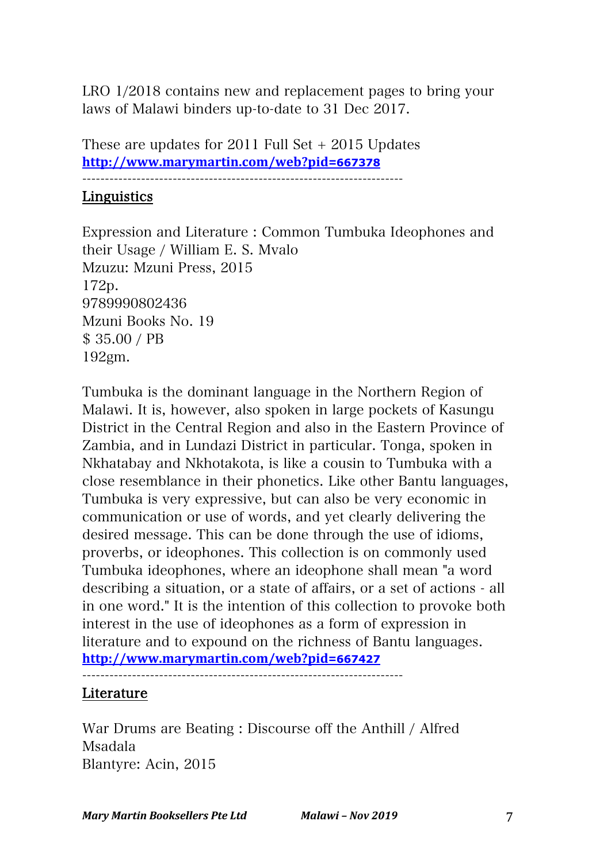LRO 1/2018 contains new and replacement pages to bring your laws of Malawi binders up-to-date to 31 Dec 2017.

These are updates for 2011 Full Set + 2015 Updates **http://www.marymartin.com/web?pid=667378**

-----------------------------------------------------------------------

#### Linguistics

Expression and Literature : Common Tumbuka Ideophones and their Usage / William E. S. Mvalo Mzuzu: Mzuni Press, 2015 172p. 9789990802436 Mzuni Books No. 19 \$ 35.00 / PB 192gm.

Tumbuka is the dominant language in the Northern Region of Malawi. It is, however, also spoken in large pockets of Kasungu District in the Central Region and also in the Eastern Province of Zambia, and in Lundazi District in particular. Tonga, spoken in Nkhatabay and Nkhotakota, is like a cousin to Tumbuka with a close resemblance in their phonetics. Like other Bantu languages, Tumbuka is very expressive, but can also be very economic in communication or use of words, and yet clearly delivering the desired message. This can be done through the use of idioms, proverbs, or ideophones. This collection is on commonly used Tumbuka ideophones, where an ideophone shall mean "a word describing a situation, or a state of affairs, or a set of actions - all in one word." It is the intention of this collection to provoke both interest in the use of ideophones as a form of expression in literature and to expound on the richness of Bantu languages. **http://www.marymartin.com/web?pid=667427**

#### Literature

War Drums are Beating : Discourse off the Anthill / Alfred Msadala Blantyre: Acin, 2015

-----------------------------------------------------------------------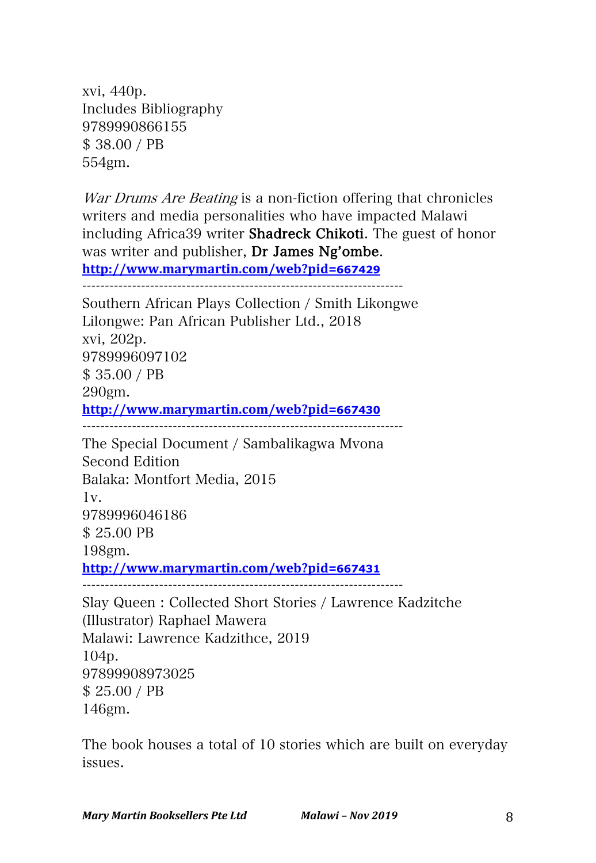xvi, 440p. Includes Bibliography 9789990866155 \$ 38.00 / PB 554gm.

War Drums Are Beating is a non-fiction offering that chronicles writers and media personalities who have impacted Malawi including Africa39 writer Shadreck Chikoti. The guest of honor was writer and publisher, Dr James Ng'ombe. **http://www.marymartin.com/web?pid=667429**

----------------------------------------------------------------------- Southern African Plays Collection / Smith Likongwe Lilongwe: Pan African Publisher Ltd., 2018 xvi, 202p. 9789996097102 \$ 35.00 / PB 290gm. **http://www.marymartin.com/web?pid=667430** ----------------------------------------------------------------------- The Special Document / Sambalikagwa Mvona Second Edition Balaka: Montfort Media, 2015 1v. 9789996046186 \$ 25.00 PB 198gm. **http://www.marymartin.com/web?pid=667431** ----------------------------------------------------------------------- Slay Queen : Collected Short Stories / Lawrence Kadzitche (Illustrator) Raphael Mawera

Malawi: Lawrence Kadzithce, 2019 104p. 97899908973025 \$ 25.00 / PB 146gm.

The book houses a total of 10 stories which are built on everyday issues.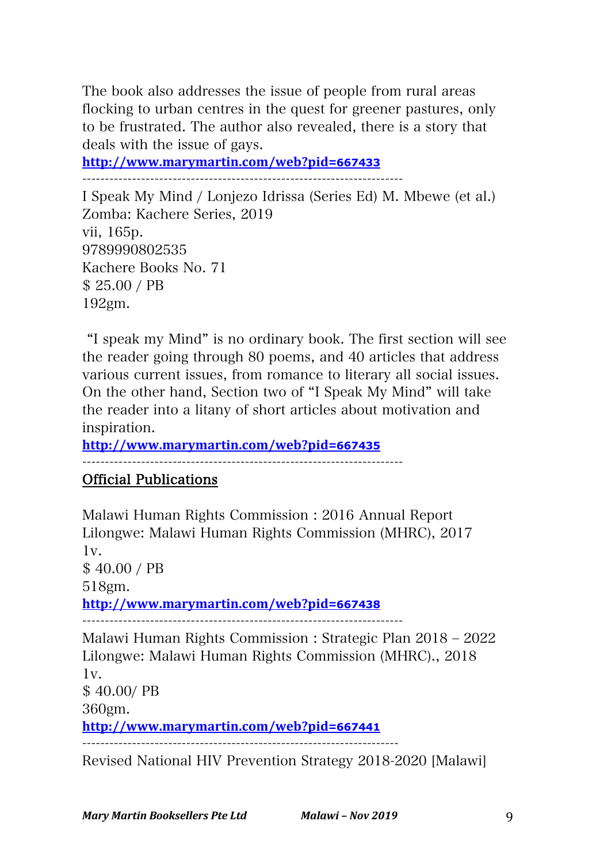The book also addresses the issue of people from rural areas flocking to urban centres in the quest for greener pastures, only to be frustrated. The author also revealed, there is a story that deals with the issue of gays.

**http://www.marymartin.com/web?pid=667433**

-----------------------------------------------------------------------

I Speak My Mind / Lonjezo Idrissa (Series Ed) M. Mbewe (et al.) Zomba: Kachere Series, 2019 vii, 165p. 9789990802535 Kachere Books No. 71 \$ 25.00 / PB 192gm.

"I speak my Mind" is no ordinary book. The first section will see the reader going through 80 poems, and 40 articles that address various current issues, from romance to literary all social issues. On the other hand, Section two of "I Speak My Mind" will take the reader into a litany of short articles about motivation and inspiration.

**http://www.marymartin.com/web?pid=667435**

-----------------------------------------------------------------------

## Official Publications

Malawi Human Rights Commission : 2016 Annual Report Lilongwe: Malawi Human Rights Commission (MHRC), 2017 1v. \$ 40.00 / PB 518gm. **http://www.marymartin.com/web?pid=667438** Malawi Human Rights Commission : Strategic Plan 2018 - 2022 Lilongwe: Malawi Human Rights Commission (MHRC)., 2018 1v. \$ 40.00/ PB

360gm.

**http://www.marymartin.com/web?pid=667441**

----------------------------------------------------------------------

Revised National HIV Prevention Strategy 2018-2020 [Malawi]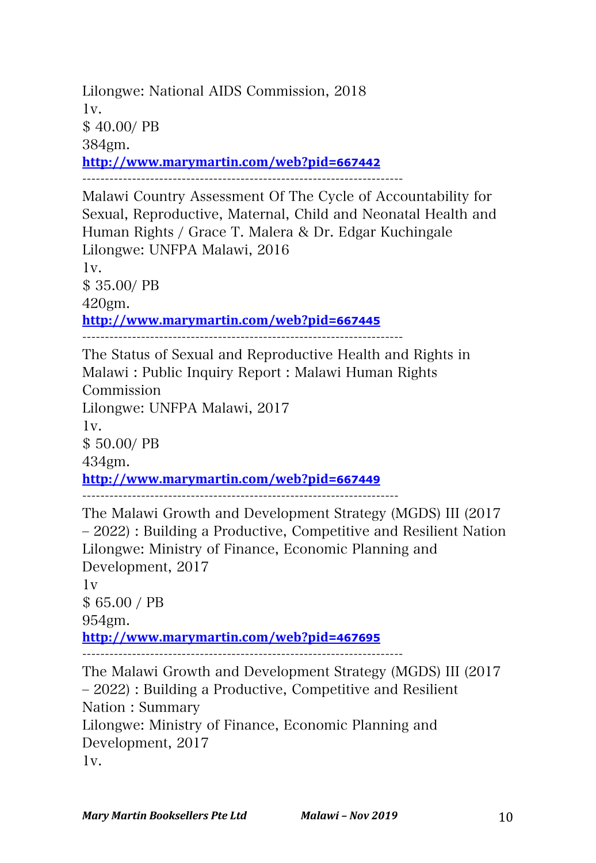Lilongwe: National AIDS Commission, 2018 1v. \$ 40.00/ PB 384gm. **http://www.marymartin.com/web?pid=667442**

-----------------------------------------------------------------------

Malawi Country Assessment Of The Cycle of Accountability for Sexual, Reproductive, Maternal, Child and Neonatal Health and Human Rights / Grace T. Malera & Dr. Edgar Kuchingale Lilongwe: UNFPA Malawi, 2016 1v.

\$ 35.00/ PB 420gm.

**http://www.marymartin.com/web?pid=667445**

-----------------------------------------------------------------------

The Status of Sexual and Reproductive Health and Rights in Malawi : Public Inquiry Report : Malawi Human Rights Commission Lilongwe: UNFPA Malawi, 2017 1v. \$ 50.00/ PB 434gm. **http://www.marymartin.com/web?pid=667449** ----------------------------------------------------------------------

The Malawi Growth and Development Strategy (MGDS) III (2017 ‒ 2022) : Building a Productive, Competitive and Resilient Nation Lilongwe: Ministry of Finance, Economic Planning and Development, 2017  $1v$ 

\$ 65.00 / PB 954gm. **http://www.marymartin.com/web?pid=467695** -----------------------------------------------------------------------

The Malawi Growth and Development Strategy (MGDS) III (2017 ‒ 2022) : Building a Productive, Competitive and Resilient Nation : Summary Lilongwe: Ministry of Finance, Economic Planning and Development, 2017 1v.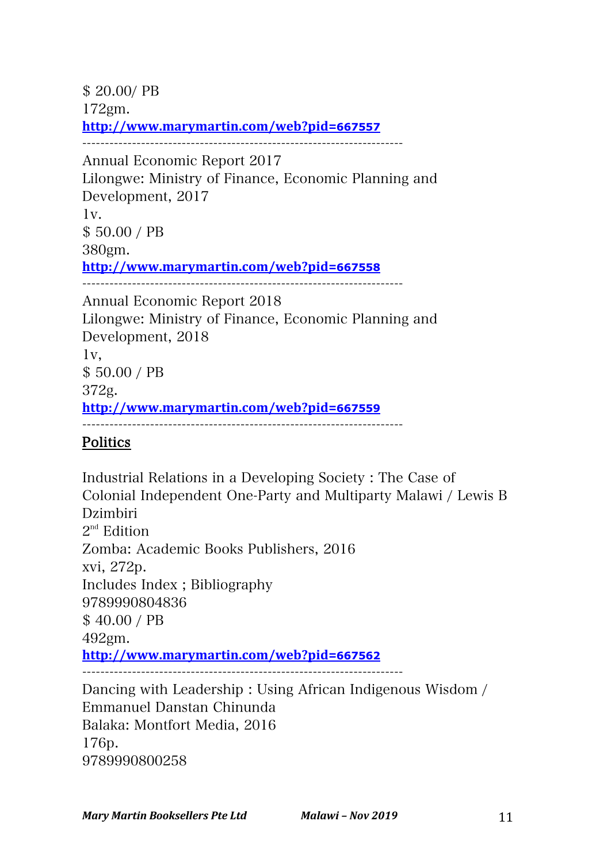\$ 20.00/ PB 172gm. **http://www.marymartin.com/web?pid=667557** ----------------------------------------------------------------------- Annual Economic Report 2017 Lilongwe: Ministry of Finance, Economic Planning and Development, 2017 1v. \$ 50.00 / PB 380gm. **http://www.marymartin.com/web?pid=667558** ----------------------------------------------------------------------- Annual Economic Report 2018 Lilongwe: Ministry of Finance, Economic Planning and Development, 2018 1v, \$ 50.00 / PB 372g. **http://www.marymartin.com/web?pid=667559** -----------------------------------------------------------------------

## Politics

Industrial Relations in a Developing Society : The Case of Colonial Independent One-Party and Multiparty Malawi / Lewis B Dzimbiri  $2<sup>nd</sup>$  Edition Zomba: Academic Books Publishers, 2016 xvi, 272p. Includes Index ; Bibliography 9789990804836 \$ 40.00 / PB 492gm. **http://www.marymartin.com/web?pid=667562** -----------------------------------------------------------------------

Dancing with Leadership : Using African Indigenous Wisdom / Emmanuel Danstan Chinunda Balaka: Montfort Media, 2016 176p. 9789990800258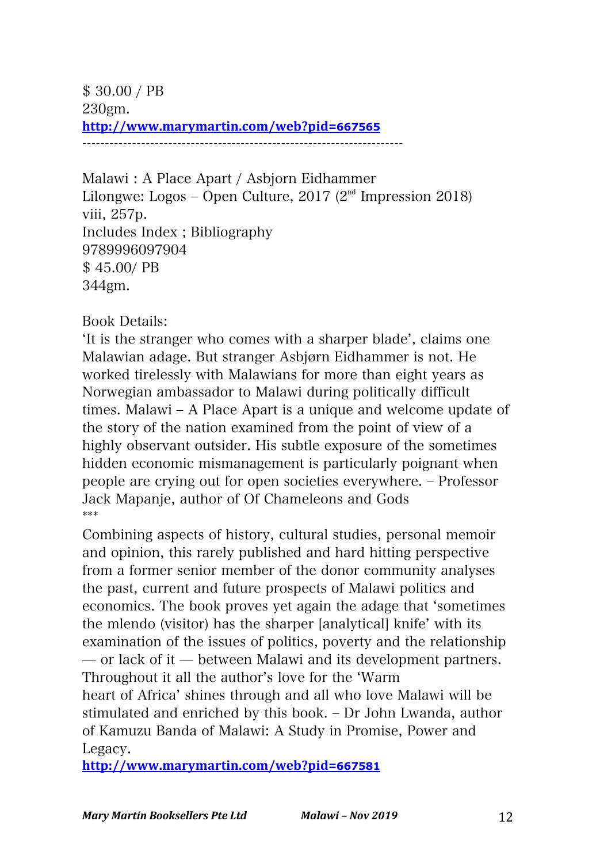\$ 30.00 / PB 230gm. **http://www.marymartin.com/web?pid=667565** -----------------------------------------------------------------------

Malawi : A Place Apart / Asbjorn Eidhammer Lilongwe: Logos – Open Culture, 2017 ( $2<sup>nd</sup>$  Impression 2018) viii, 257p. Includes Index ; Bibliography 9789996097904 \$ 45.00/ PB 344gm.

Book Details:

ʻIt is the stranger who comes with a sharper blade', claims one Malawian adage. But stranger Asbjørn Eidhammer is not. He worked tirelessly with Malawians for more than eight years as Norwegian ambassador to Malawi during politically difficult times. Malawi – A Place Apart is a unique and welcome update of the story of the nation examined from the point of view of a highly observant outsider. His subtle exposure of the sometimes hidden economic mismanagement is particularly poignant when people are crying out for open societies everywhere. ‒ Professor Jack Mapanje, author of Of Chameleons and Gods \*\*\*

Combining aspects of history, cultural studies, personal memoir and opinion, this rarely published and hard hitting perspective from a former senior member of the donor community analyses the past, current and future prospects of Malawi politics and economics. The book proves yet again the adage that ʻsometimes the mlendo (visitor) has the sharper [analytical] knife' with its examination of the issues of politics, poverty and the relationship ̶ or lack of it ̶ between Malawi and its development partners. Throughout it all the author's love for the ʻWarm heart of Africa' shines through and all who love Malawi will be stimulated and enriched by this book. ‒ Dr John Lwanda, author of Kamuzu Banda of Malawi: A Study in Promise, Power and Legacy.

**http://www.marymartin.com/web?pid=667581**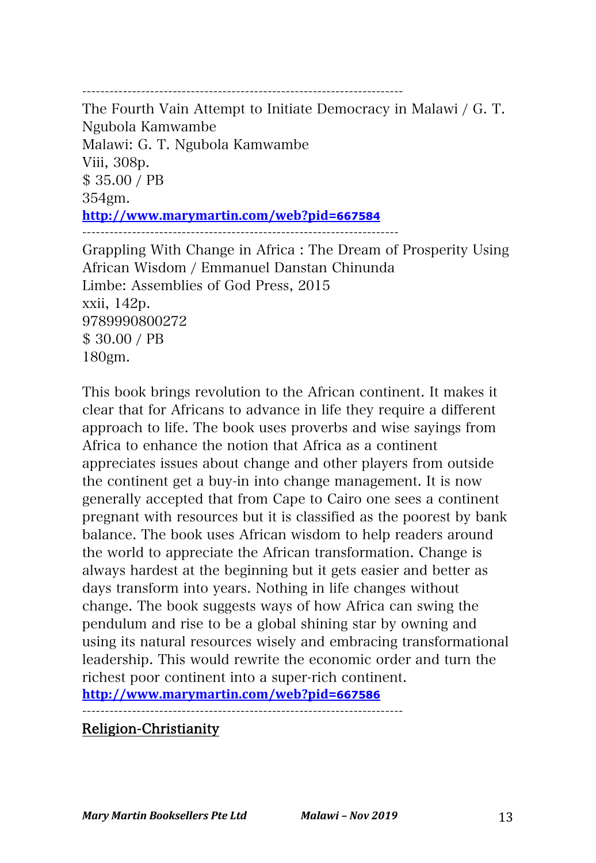----------------------------------------------------------------------- The Fourth Vain Attempt to Initiate Democracy in Malawi / G. T. Ngubola Kamwambe Malawi: G. T. Ngubola Kamwambe Viii, 308p. \$ 35.00 / PB 354gm. **http://www.marymartin.com/web?pid=667584** ----------------------------------------------------------------------

Grappling With Change in Africa : The Dream of Prosperity Using African Wisdom / Emmanuel Danstan Chinunda Limbe: Assemblies of God Press, 2015 xxii, 142p. 9789990800272 \$ 30.00 / PB 180gm.

This book brings revolution to the African continent. It makes it clear that for Africans to advance in life they require a different approach to life. The book uses proverbs and wise sayings from Africa to enhance the notion that Africa as a continent appreciates issues about change and other players from outside the continent get a buy-in into change management. It is now generally accepted that from Cape to Cairo one sees a continent pregnant with resources but it is classified as the poorest by bank balance. The book uses African wisdom to help readers around the world to appreciate the African transformation. Change is always hardest at the beginning but it gets easier and better as days transform into years. Nothing in life changes without change. The book suggests ways of how Africa can swing the pendulum and rise to be a global shining star by owning and using its natural resources wisely and embracing transformational leadership. This would rewrite the economic order and turn the richest poor continent into a super-rich continent. **http://www.marymartin.com/web?pid=667586**

-----------------------------------------------------------------------

#### Religion-Christianity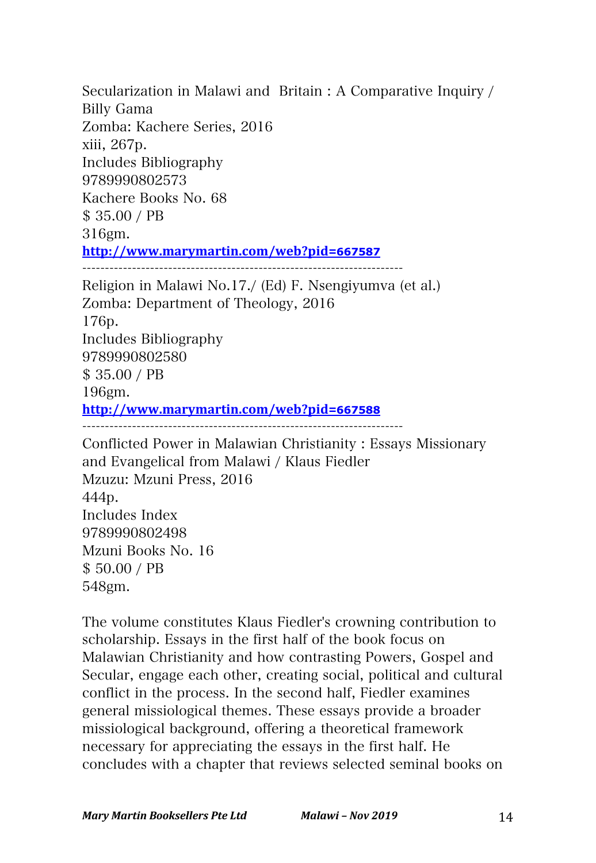Secularization in Malawi and Britain : A Comparative Inquiry / Billy Gama Zomba: Kachere Series, 2016 xiii, 267p. Includes Bibliography 9789990802573 Kachere Books No. 68 \$ 35.00 / PB 316gm. **http://www.marymartin.com/web?pid=667587** ----------------------------------------------------------------------- Religion in Malawi No.17./ (Ed) F. Nsengiyumva (et al.) Zomba: Department of Theology, 2016 176p. Includes Bibliography 9789990802580

\$ 35.00 / PB

196gm.

**http://www.marymartin.com/web?pid=667588**

-----------------------------------------------------------------------

Conflicted Power in Malawian Christianity : Essays Missionary and Evangelical from Malawi / Klaus Fiedler Mzuzu: Mzuni Press, 2016 444p. Includes Index 9789990802498 Mzuni Books No. 16 \$ 50.00 / PB 548gm.

The volume constitutes Klaus Fiedler's crowning contribution to scholarship. Essays in the first half of the book focus on Malawian Christianity and how contrasting Powers, Gospel and Secular, engage each other, creating social, political and cultural conflict in the process. In the second half, Fiedler examines general missiological themes. These essays provide a broader missiological background, offering a theoretical framework necessary for appreciating the essays in the first half. He concludes with a chapter that reviews selected seminal books on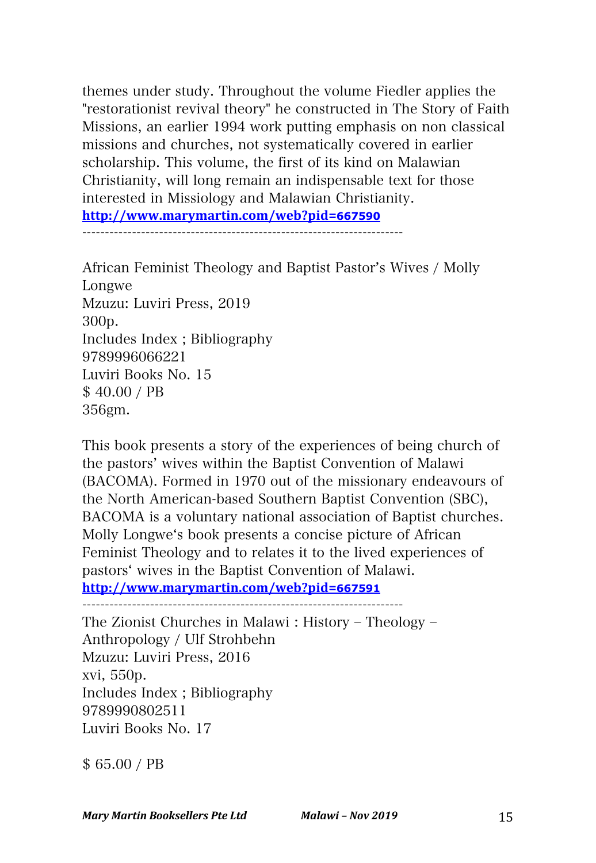themes under study. Throughout the volume Fiedler applies the "restorationist revival theory" he constructed in The Story of Faith Missions, an earlier 1994 work putting emphasis on non classical missions and churches, not systematically covered in earlier scholarship. This volume, the first of its kind on Malawian Christianity, will long remain an indispensable text for those interested in Missiology and Malawian Christianity. **http://www.marymartin.com/web?pid=667590** -----------------------------------------------------------------------

African Feminist Theology and Baptist Pastor's Wives / Molly Longwe Mzuzu: Luviri Press, 2019 300p. Includes Index ; Bibliography 9789996066221 Luviri Books No. 15 \$ 40.00 / PB 356gm.

This book presents a story of the experiences of being church of the pastors' wives within the Baptist Convention of Malawi (BACOMA). Formed in 1970 out of the missionary endeavours of the North American-based Southern Baptist Convention (SBC), BACOMA is a voluntary national association of Baptist churches. Molly Longweʻs book presents a concise picture of African Feminist Theology and to relates it to the lived experiences of pastorsʻ wives in the Baptist Convention of Malawi.

**http://www.marymartin.com/web?pid=667591** -----------------------------------------------------------------------

The Zionist Churches in Malawi : History – Theology – Anthropology / Ulf Strohbehn Mzuzu: Luviri Press, 2016 xvi, 550p. Includes Index ; Bibliography 9789990802511 Luviri Books No. 17

\$ 65.00 / PB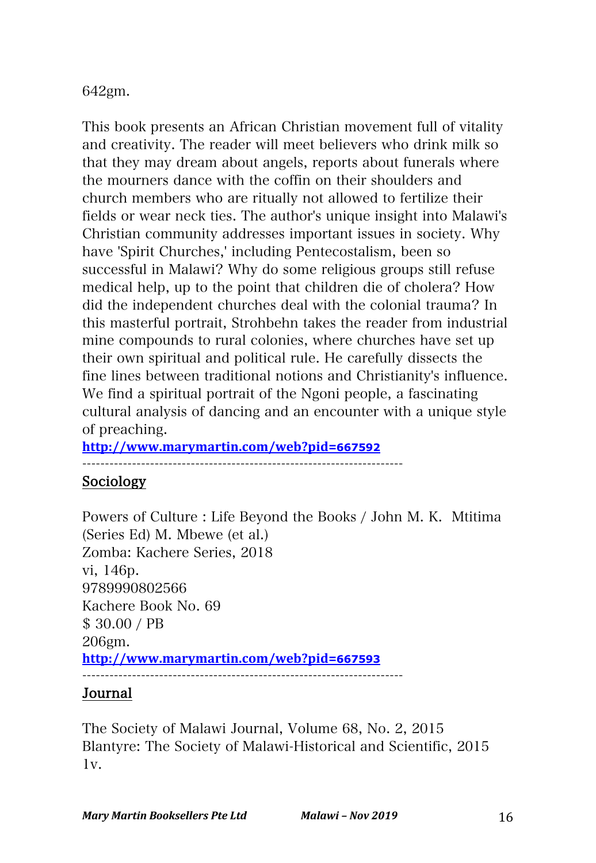## 642gm.

This book presents an African Christian movement full of vitality and creativity. The reader will meet believers who drink milk so that they may dream about angels, reports about funerals where the mourners dance with the coffin on their shoulders and church members who are ritually not allowed to fertilize their fields or wear neck ties. The author's unique insight into Malawi's Christian community addresses important issues in society. Why have 'Spirit Churches,' including Pentecostalism, been so successful in Malawi? Why do some religious groups still refuse medical help, up to the point that children die of cholera? How did the independent churches deal with the colonial trauma? In this masterful portrait, Strohbehn takes the reader from industrial mine compounds to rural colonies, where churches have set up their own spiritual and political rule. He carefully dissects the fine lines between traditional notions and Christianity's influence. We find a spiritual portrait of the Ngoni people, a fascinating cultural analysis of dancing and an encounter with a unique style of preaching.

**http://www.marymartin.com/web?pid=667592**

-----------------------------------------------------------------------

# Sociology

Powers of Culture : Life Beyond the Books / John M. K. Mtitima (Series Ed) M. Mbewe (et al.) Zomba: Kachere Series, 2018 vi, 146p. 9789990802566 Kachere Book No. 69 \$ 30.00 / PB 206gm. **http://www.marymartin.com/web?pid=667593** -----------------------------------------------------------------------

## Journal

The Society of Malawi Journal, Volume 68, No. 2, 2015 Blantyre: The Society of Malawi-Historical and Scientific, 2015 1v.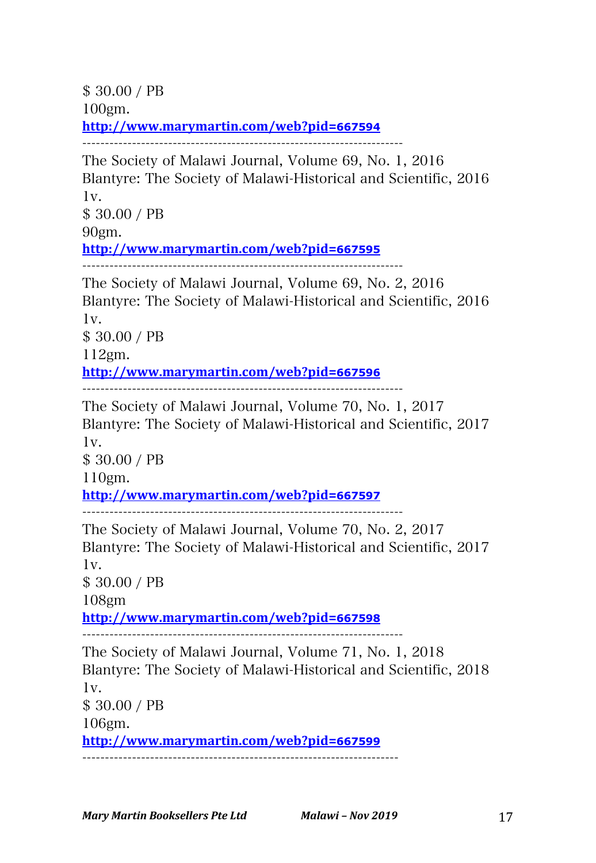\$ 30.00 / PB 100gm. **http://www.marymartin.com/web?pid=667594**

-----------------------------------------------------------------------

The Society of Malawi Journal, Volume 69, No. 1, 2016 Blantyre: The Society of Malawi-Historical and Scientific, 2016 1v. \$ 30.00 / PB 90gm. **http://www.marymartin.com/web?pid=667595**

-----------------------------------------------------------------------

The Society of Malawi Journal, Volume 69, No. 2, 2016 Blantyre: The Society of Malawi-Historical and Scientific, 2016 1v.

\$ 30.00 / PB 112gm.

**http://www.marymartin.com/web?pid=667596**

-----------------------------------------------------------------------

The Society of Malawi Journal, Volume 70, No. 1, 2017 Blantyre: The Society of Malawi-Historical and Scientific, 2017 1v.

\$ 30.00 / PB

110gm.

**http://www.marymartin.com/web?pid=667597**

-----------------------------------------------------------------------

The Society of Malawi Journal, Volume 70, No. 2, 2017 Blantyre: The Society of Malawi-Historical and Scientific, 2017 1v.

\$ 30.00 / PB

108gm

**http://www.marymartin.com/web?pid=667598**

-----------------------------------------------------------------------

The Society of Malawi Journal, Volume 71, No. 1, 2018 Blantyre: The Society of Malawi-Historical and Scientific, 2018 1v. \$ 30.00 / PB 106gm. **http://www.marymartin.com/web?pid=667599** ----------------------------------------------------------------------